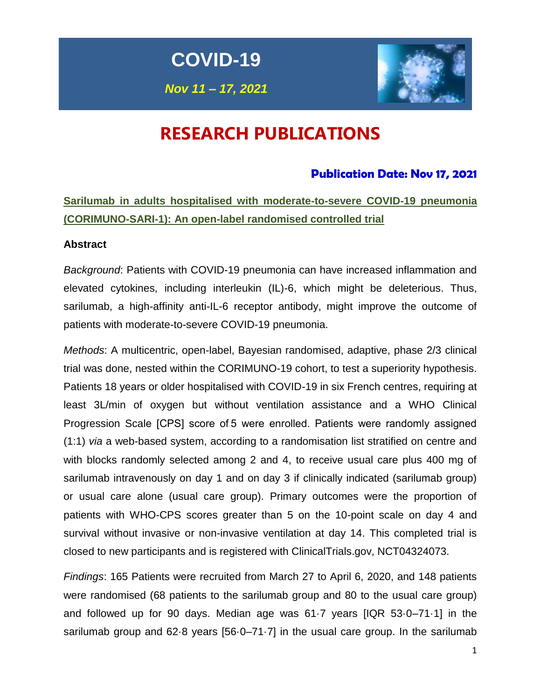**COVID-19**

*Nov 11 – 17, 2021*



# **RESEARCH PUBLICATIONS**

## **Publication Date: Nov 17, 2021**

## **Sarilumab in adults hospitalised with moderate-to-severe COVID-19 pneumonia (CORIMUNO-SARI-1): An open-label randomised controlled trial**

### **Abstract**

*Background*: Patients with COVID-19 pneumonia can have increased inflammation and elevated cytokines, including interleukin (IL)-6, which might be deleterious. Thus, sarilumab, a high-affinity anti-IL-6 receptor antibody, might improve the outcome of patients with moderate-to-severe COVID-19 pneumonia.

*Methods*: A multicentric, open-label, Bayesian randomised, adaptive, phase 2/3 clinical trial was done, nested within the CORIMUNO-19 cohort, to test a superiority hypothesis. Patients 18 years or older hospitalised with COVID-19 in six French centres, requiring at least 3L/min of oxygen but without ventilation assistance and a WHO Clinical Progression Scale [CPS] score of 5 were enrolled. Patients were randomly assigned (1:1) *via* a web-based system, according to a randomisation list stratified on centre and with blocks randomly selected among 2 and 4, to receive usual care plus 400 mg of sarilumab intravenously on day 1 and on day 3 if clinically indicated (sarilumab group) or usual care alone (usual care group). Primary outcomes were the proportion of patients with WHO-CPS scores greater than 5 on the 10-point scale on day 4 and survival without invasive or non-invasive ventilation at day 14. This completed trial is closed to new participants and is registered with ClinicalTrials.gov, NCT04324073.

*Findings*: 165 Patients were recruited from March 27 to April 6, 2020, and 148 patients were randomised (68 patients to the sarilumab group and 80 to the usual care group) and followed up for 90 days. Median age was 61·7 years [IQR 53·0–71·1] in the sarilumab group and 62·8 years [56·0–71·7] in the usual care group. In the sarilumab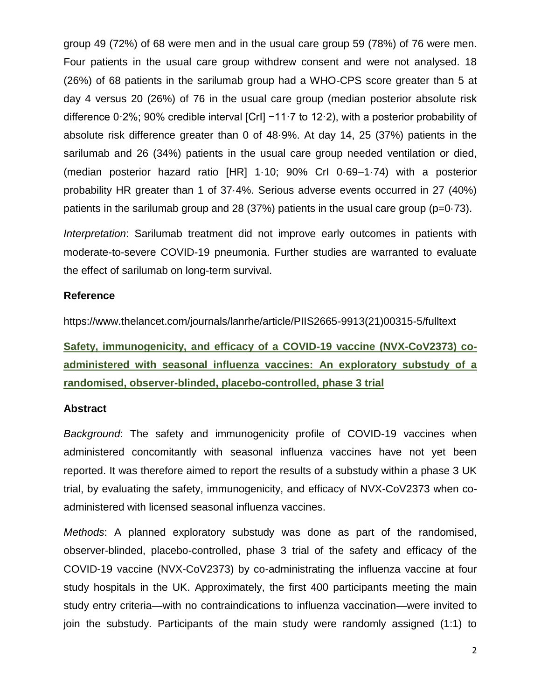group 49 (72%) of 68 were men and in the usual care group 59 (78%) of 76 were men. Four patients in the usual care group withdrew consent and were not analysed. 18 (26%) of 68 patients in the sarilumab group had a WHO-CPS score greater than 5 at day 4 versus 20 (26%) of 76 in the usual care group (median posterior absolute risk difference 0·2%; 90% credible interval [CrI] −11·7 to 12·2), with a posterior probability of absolute risk difference greater than 0 of 48·9%. At day 14, 25 (37%) patients in the sarilumab and 26 (34%) patients in the usual care group needed ventilation or died, (median posterior hazard ratio [HR] 1·10; 90% CrI 0·69–1·74) with a posterior probability HR greater than 1 of 37·4%. Serious adverse events occurred in 27 (40%) patients in the sarilumab group and 28 (37%) patients in the usual care group ( $p=0.73$ ).

*Interpretation*: Sarilumab treatment did not improve early outcomes in patients with moderate-to-severe COVID-19 pneumonia. Further studies are warranted to evaluate the effect of sarilumab on long-term survival.

### **Reference**

https://www.thelancet.com/journals/lanrhe/article/PIIS2665-9913(21)00315-5/fulltext

**Safety, immunogenicity, and efficacy of a COVID-19 vaccine (NVX-CoV2373) coadministered with seasonal influenza vaccines: An exploratory substudy of a randomised, observer-blinded, placebo-controlled, phase 3 trial**

### **Abstract**

*Background*: The safety and immunogenicity profile of COVID-19 vaccines when administered concomitantly with seasonal influenza vaccines have not yet been reported. It was therefore aimed to report the results of a substudy within a phase 3 UK trial, by evaluating the safety, immunogenicity, and efficacy of NVX-CoV2373 when coadministered with licensed seasonal influenza vaccines.

*Methods*: A planned exploratory substudy was done as part of the randomised, observer-blinded, placebo-controlled, phase 3 trial of the safety and efficacy of the COVID-19 vaccine (NVX-CoV2373) by co-administrating the influenza vaccine at four study hospitals in the UK. Approximately, the first 400 participants meeting the main study entry criteria—with no contraindications to influenza vaccination—were invited to join the substudy. Participants of the main study were randomly assigned (1:1) to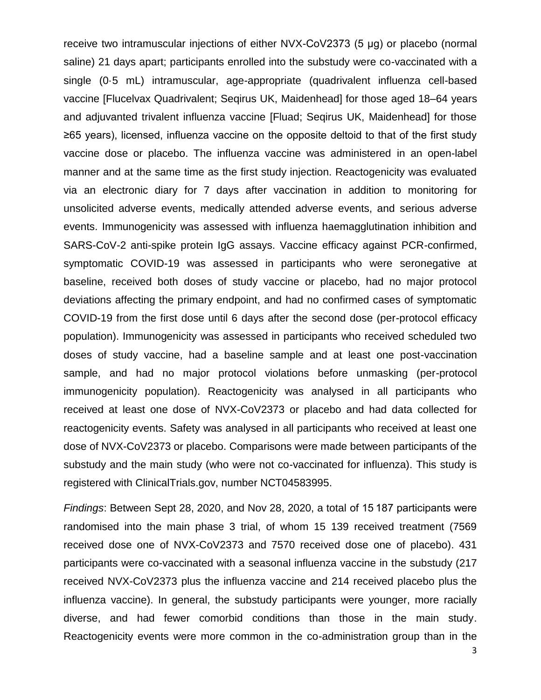receive two intramuscular injections of either NVX-CoV2373 (5 μg) or placebo (normal saline) 21 days apart; participants enrolled into the substudy were co-vaccinated with a single (0·5 mL) intramuscular, age-appropriate (quadrivalent influenza cell-based vaccine [Flucelvax Quadrivalent; Seqirus UK, Maidenhead] for those aged 18–64 years and adjuvanted trivalent influenza vaccine [Fluad; Seqirus UK, Maidenhead] for those ≥65 years), licensed, influenza vaccine on the opposite deltoid to that of the first study vaccine dose or placebo. The influenza vaccine was administered in an open-label manner and at the same time as the first study injection. Reactogenicity was evaluated via an electronic diary for 7 days after vaccination in addition to monitoring for unsolicited adverse events, medically attended adverse events, and serious adverse events. Immunogenicity was assessed with influenza haemagglutination inhibition and SARS-CoV-2 anti-spike protein IgG assays. Vaccine efficacy against PCR-confirmed, symptomatic COVID-19 was assessed in participants who were seronegative at baseline, received both doses of study vaccine or placebo, had no major protocol deviations affecting the primary endpoint, and had no confirmed cases of symptomatic COVID-19 from the first dose until 6 days after the second dose (per-protocol efficacy population). Immunogenicity was assessed in participants who received scheduled two doses of study vaccine, had a baseline sample and at least one post-vaccination sample, and had no major protocol violations before unmasking (per-protocol immunogenicity population). Reactogenicity was analysed in all participants who received at least one dose of NVX-CoV2373 or placebo and had data collected for reactogenicity events. Safety was analysed in all participants who received at least one dose of NVX-CoV2373 or placebo. Comparisons were made between participants of the substudy and the main study (who were not co-vaccinated for influenza). This study is registered with ClinicalTrials.gov, number NCT04583995.

*Findings*: Between Sept 28, 2020, and Nov 28, 2020, a total of 15 187 participants were randomised into the main phase 3 trial, of whom 15 139 received treatment (7569 received dose one of NVX-CoV2373 and 7570 received dose one of placebo). 431 participants were co-vaccinated with a seasonal influenza vaccine in the substudy (217 received NVX-CoV2373 plus the influenza vaccine and 214 received placebo plus the influenza vaccine). In general, the substudy participants were younger, more racially diverse, and had fewer comorbid conditions than those in the main study. Reactogenicity events were more common in the co-administration group than in the

3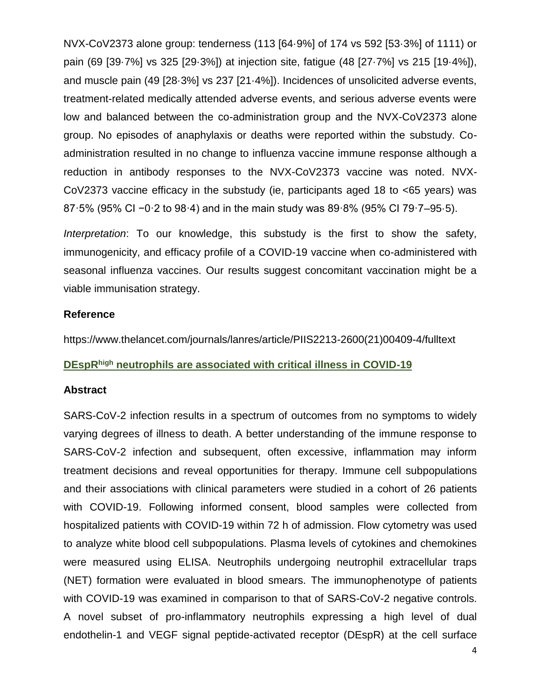NVX-CoV2373 alone group: tenderness (113 [64·9%] of 174 vs 592 [53·3%] of 1111) or pain (69 [39·7%] vs 325 [29·3%]) at injection site, fatigue (48 [27·7%] vs 215 [19·4%]), and muscle pain (49 [28·3%] vs 237 [21·4%]). Incidences of unsolicited adverse events, treatment-related medically attended adverse events, and serious adverse events were low and balanced between the co-administration group and the NVX-CoV2373 alone group. No episodes of anaphylaxis or deaths were reported within the substudy. Coadministration resulted in no change to influenza vaccine immune response although a reduction in antibody responses to the NVX-CoV2373 vaccine was noted. NVX-CoV2373 vaccine efficacy in the substudy (ie, participants aged 18 to <65 years) was 87·5% (95% CI −0·2 to 98·4) and in the main study was 89·8% (95% CI 79·7–95·5).

*Interpretation*: To our knowledge, this substudy is the first to show the safety, immunogenicity, and efficacy profile of a COVID-19 vaccine when co-administered with seasonal influenza vaccines. Our results suggest concomitant vaccination might be a viable immunisation strategy.

### **Reference**

https://www.thelancet.com/journals/lanres/article/PIIS2213-2600(21)00409-4/fulltext

### **DEspRhigh neutrophils are associated with critical illness in COVID-19**

#### **Abstract**

SARS-CoV-2 infection results in a spectrum of outcomes from no symptoms to widely varying degrees of illness to death. A better understanding of the immune response to SARS-CoV-2 infection and subsequent, often excessive, inflammation may inform treatment decisions and reveal opportunities for therapy. Immune cell subpopulations and their associations with clinical parameters were studied in a cohort of 26 patients with COVID-19. Following informed consent, blood samples were collected from hospitalized patients with COVID-19 within 72 h of admission. Flow cytometry was used to analyze white blood cell subpopulations. Plasma levels of cytokines and chemokines were measured using ELISA. Neutrophils undergoing neutrophil extracellular traps (NET) formation were evaluated in blood smears. The immunophenotype of patients with COVID-19 was examined in comparison to that of SARS-CoV-2 negative controls. A novel subset of pro-inflammatory neutrophils expressing a high level of dual endothelin-1 and VEGF signal peptide-activated receptor (DEspR) at the cell surface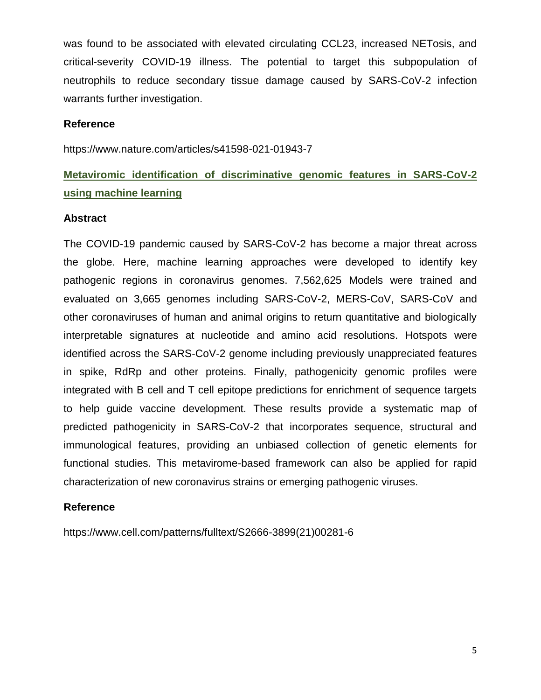was found to be associated with elevated circulating CCL23, increased NETosis, and critical-severity COVID-19 illness. The potential to target this subpopulation of neutrophils to reduce secondary tissue damage caused by SARS-CoV-2 infection warrants further investigation.

### **Reference**

https://www.nature.com/articles/s41598-021-01943-7

## **Metaviromic identification of discriminative genomic features in SARS-CoV-2 using machine learning**

### **Abstract**

The COVID-19 pandemic caused by SARS-CoV-2 has become a major threat across the globe. Here, machine learning approaches were developed to identify key pathogenic regions in coronavirus genomes. 7,562,625 Models were trained and evaluated on 3,665 genomes including SARS-CoV-2, MERS-CoV, SARS-CoV and other coronaviruses of human and animal origins to return quantitative and biologically interpretable signatures at nucleotide and amino acid resolutions. Hotspots were identified across the SARS-CoV-2 genome including previously unappreciated features in spike, RdRp and other proteins. Finally, pathogenicity genomic profiles were integrated with B cell and T cell epitope predictions for enrichment of sequence targets to help guide vaccine development. These results provide a systematic map of predicted pathogenicity in SARS-CoV-2 that incorporates sequence, structural and immunological features, providing an unbiased collection of genetic elements for functional studies. This metavirome-based framework can also be applied for rapid characterization of new coronavirus strains or emerging pathogenic viruses.

#### **Reference**

https://www.cell.com/patterns/fulltext/S2666-3899(21)00281-6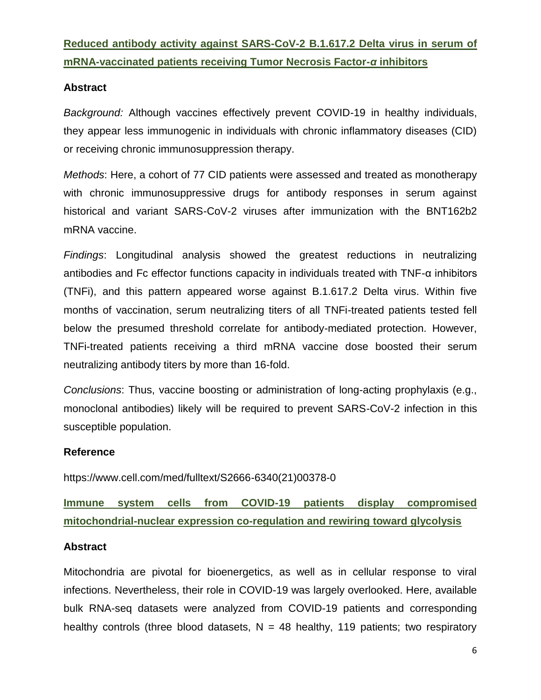## **Reduced antibody activity against SARS-CoV-2 B.1.617.2 Delta virus in serum of mRNA-vaccinated patients receiving Tumor Necrosis Factor-***α* **inhibitors**

### **Abstract**

*Background:* Although vaccines effectively prevent COVID-19 in healthy individuals, they appear less immunogenic in individuals with chronic inflammatory diseases (CID) or receiving chronic immunosuppression therapy.

*Methods*: Here, a cohort of 77 CID patients were assessed and treated as monotherapy with chronic immunosuppressive drugs for antibody responses in serum against historical and variant SARS-CoV-2 viruses after immunization with the BNT162b2 mRNA vaccine.

*Findings*: Longitudinal analysis showed the greatest reductions in neutralizing antibodies and Fc effector functions capacity in individuals treated with TNF-α inhibitors (TNFi), and this pattern appeared worse against B.1.617.2 Delta virus. Within five months of vaccination, serum neutralizing titers of all TNFi-treated patients tested fell below the presumed threshold correlate for antibody-mediated protection. However, TNFi-treated patients receiving a third mRNA vaccine dose boosted their serum neutralizing antibody titers by more than 16-fold.

*Conclusions*: Thus, vaccine boosting or administration of long-acting prophylaxis (e.g., monoclonal antibodies) likely will be required to prevent SARS-CoV-2 infection in this susceptible population.

### **Reference**

https://www.cell.com/med/fulltext/S2666-6340(21)00378-0

## **Immune system cells from COVID-19 patients display compromised mitochondrial-nuclear expression co-regulation and rewiring toward glycolysis**

### **Abstract**

Mitochondria are pivotal for bioenergetics, as well as in cellular response to viral infections. Nevertheless, their role in COVID-19 was largely overlooked. Here, available bulk RNA-seq datasets were analyzed from COVID-19 patients and corresponding healthy controls (three blood datasets,  $N = 48$  healthy, 119 patients; two respiratory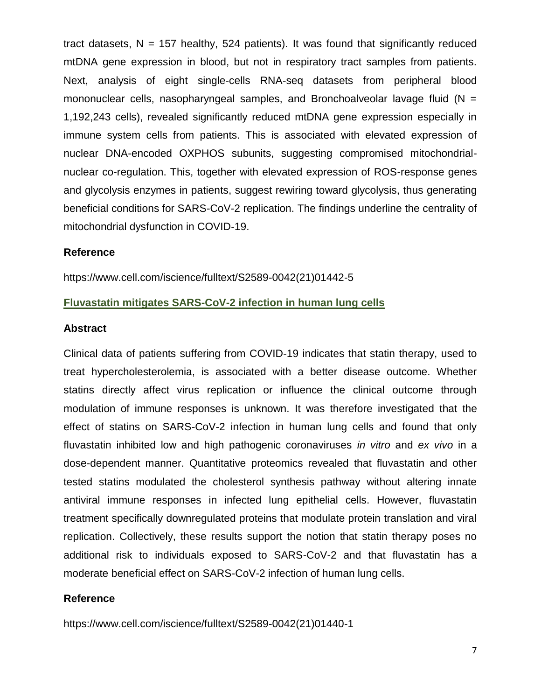tract datasets,  $N = 157$  healthy, 524 patients). It was found that significantly reduced mtDNA gene expression in blood, but not in respiratory tract samples from patients. Next, analysis of eight single-cells RNA-seq datasets from peripheral blood mononuclear cells, nasopharyngeal samples, and Bronchoalveolar lavage fluid ( $N =$ 1,192,243 cells), revealed significantly reduced mtDNA gene expression especially in immune system cells from patients. This is associated with elevated expression of nuclear DNA-encoded OXPHOS subunits, suggesting compromised mitochondrialnuclear co-regulation. This, together with elevated expression of ROS-response genes and glycolysis enzymes in patients, suggest rewiring toward glycolysis, thus generating beneficial conditions for SARS-CoV-2 replication. The findings underline the centrality of mitochondrial dysfunction in COVID-19.

### **Reference**

https://www.cell.com/iscience/fulltext/S2589-0042(21)01442-5

### **Fluvastatin mitigates SARS-CoV-2 infection in human lung cells**

#### **Abstract**

Clinical data of patients suffering from COVID-19 indicates that statin therapy, used to treat hypercholesterolemia, is associated with a better disease outcome. Whether statins directly affect virus replication or influence the clinical outcome through modulation of immune responses is unknown. It was therefore investigated that the effect of statins on SARS-CoV-2 infection in human lung cells and found that only fluvastatin inhibited low and high pathogenic coronaviruses *in vitro* and *ex vivo* in a dose-dependent manner. Quantitative proteomics revealed that fluvastatin and other tested statins modulated the cholesterol synthesis pathway without altering innate antiviral immune responses in infected lung epithelial cells. However, fluvastatin treatment specifically downregulated proteins that modulate protein translation and viral replication. Collectively, these results support the notion that statin therapy poses no additional risk to individuals exposed to SARS-CoV-2 and that fluvastatin has a moderate beneficial effect on SARS-CoV-2 infection of human lung cells.

#### **Reference**

https://www.cell.com/iscience/fulltext/S2589-0042(21)01440-1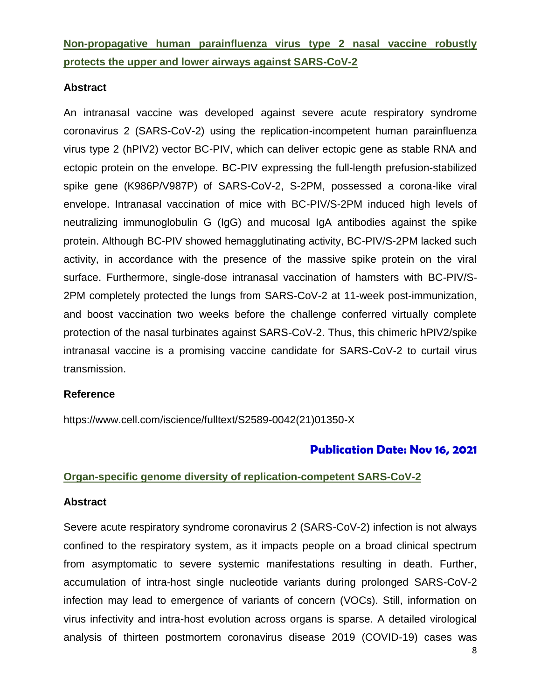**Non-propagative human parainfluenza virus type 2 nasal vaccine robustly protects the upper and lower airways against SARS-CoV-2**

### **Abstract**

An intranasal vaccine was developed against severe acute respiratory syndrome coronavirus 2 (SARS-CoV-2) using the replication-incompetent human parainfluenza virus type 2 (hPIV2) vector BC-PIV, which can deliver ectopic gene as stable RNA and ectopic protein on the envelope. BC-PIV expressing the full-length prefusion-stabilized spike gene (K986P/V987P) of SARS-CoV-2, S-2PM, possessed a corona-like viral envelope. Intranasal vaccination of mice with BC-PIV/S-2PM induced high levels of neutralizing immunoglobulin G (IgG) and mucosal IgA antibodies against the spike protein. Although BC-PIV showed hemagglutinating activity, BC-PIV/S-2PM lacked such activity, in accordance with the presence of the massive spike protein on the viral surface. Furthermore, single-dose intranasal vaccination of hamsters with BC-PIV/S-2PM completely protected the lungs from SARS-CoV-2 at 11-week post-immunization, and boost vaccination two weeks before the challenge conferred virtually complete protection of the nasal turbinates against SARS-CoV-2. Thus, this chimeric hPIV2/spike intranasal vaccine is a promising vaccine candidate for SARS-CoV-2 to curtail virus transmission.

#### **Reference**

https://www.cell.com/iscience/fulltext/S2589-0042(21)01350-X

### **Publication Date: Nov 16, 2021**

#### **Organ-specific genome diversity of replication-competent SARS-CoV-2**

#### **Abstract**

Severe acute respiratory syndrome coronavirus 2 (SARS-CoV-2) infection is not always confined to the respiratory system, as it impacts people on a broad clinical spectrum from asymptomatic to severe systemic manifestations resulting in death. Further, accumulation of intra-host single nucleotide variants during prolonged SARS-CoV-2 infection may lead to emergence of variants of concern (VOCs). Still, information on virus infectivity and intra-host evolution across organs is sparse. A detailed virological analysis of thirteen postmortem coronavirus disease 2019 (COVID-19) cases was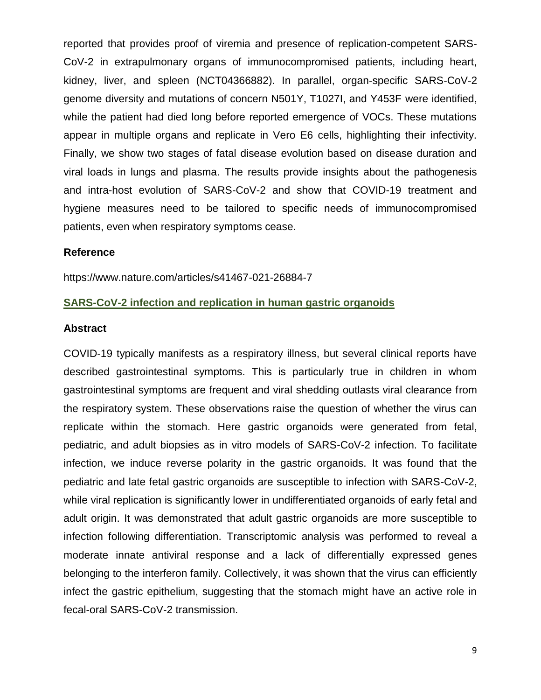reported that provides proof of viremia and presence of replication-competent SARS-CoV-2 in extrapulmonary organs of immunocompromised patients, including heart, kidney, liver, and spleen (NCT04366882). In parallel, organ-specific SARS-CoV-2 genome diversity and mutations of concern N501Y, T1027I, and Y453F were identified, while the patient had died long before reported emergence of VOCs. These mutations appear in multiple organs and replicate in Vero E6 cells, highlighting their infectivity. Finally, we show two stages of fatal disease evolution based on disease duration and viral loads in lungs and plasma. The results provide insights about the pathogenesis and intra-host evolution of SARS-CoV-2 and show that COVID-19 treatment and hygiene measures need to be tailored to specific needs of immunocompromised patients, even when respiratory symptoms cease.

#### **Reference**

https://www.nature.com/articles/s41467-021-26884-7

#### **SARS-CoV-2 infection and replication in human gastric organoids**

#### **Abstract**

COVID-19 typically manifests as a respiratory illness, but several clinical reports have described gastrointestinal symptoms. This is particularly true in children in whom gastrointestinal symptoms are frequent and viral shedding outlasts viral clearance from the respiratory system. These observations raise the question of whether the virus can replicate within the stomach. Here gastric organoids were generated from fetal, pediatric, and adult biopsies as in vitro models of SARS-CoV-2 infection. To facilitate infection, we induce reverse polarity in the gastric organoids. It was found that the pediatric and late fetal gastric organoids are susceptible to infection with SARS-CoV-2, while viral replication is significantly lower in undifferentiated organoids of early fetal and adult origin. It was demonstrated that adult gastric organoids are more susceptible to infection following differentiation. Transcriptomic analysis was performed to reveal a moderate innate antiviral response and a lack of differentially expressed genes belonging to the interferon family. Collectively, it was shown that the virus can efficiently infect the gastric epithelium, suggesting that the stomach might have an active role in fecal-oral SARS-CoV-2 transmission.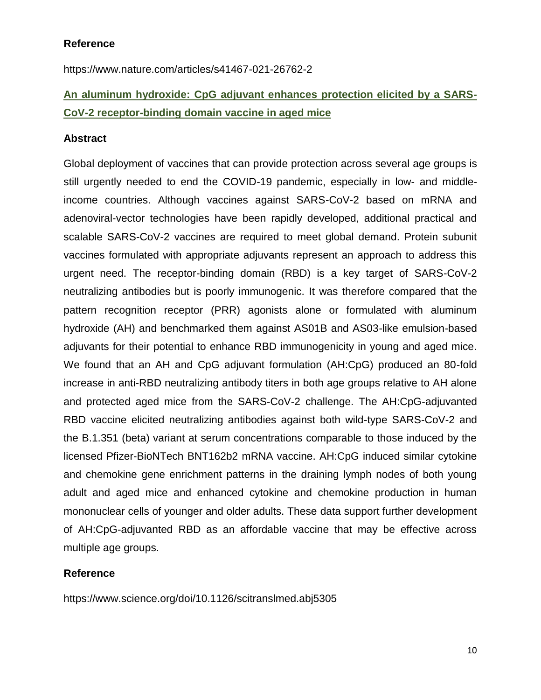### **Reference**

https://www.nature.com/articles/s41467-021-26762-2

## **An aluminum hydroxide: CpG adjuvant enhances protection elicited by a SARS-CoV-2 receptor-binding domain vaccine in aged mice**

### **Abstract**

Global deployment of vaccines that can provide protection across several age groups is still urgently needed to end the COVID-19 pandemic, especially in low- and middleincome countries. Although vaccines against SARS-CoV-2 based on mRNA and adenoviral-vector technologies have been rapidly developed, additional practical and scalable SARS-CoV-2 vaccines are required to meet global demand. Protein subunit vaccines formulated with appropriate adjuvants represent an approach to address this urgent need. The receptor-binding domain (RBD) is a key target of SARS-CoV-2 neutralizing antibodies but is poorly immunogenic. It was therefore compared that the pattern recognition receptor (PRR) agonists alone or formulated with aluminum hydroxide (AH) and benchmarked them against AS01B and AS03-like emulsion-based adjuvants for their potential to enhance RBD immunogenicity in young and aged mice. We found that an AH and CpG adjuvant formulation (AH:CpG) produced an 80-fold increase in anti-RBD neutralizing antibody titers in both age groups relative to AH alone and protected aged mice from the SARS-CoV-2 challenge. The AH:CpG-adjuvanted RBD vaccine elicited neutralizing antibodies against both wild-type SARS-CoV-2 and the B.1.351 (beta) variant at serum concentrations comparable to those induced by the licensed Pfizer-BioNTech BNT162b2 mRNA vaccine. AH:CpG induced similar cytokine and chemokine gene enrichment patterns in the draining lymph nodes of both young adult and aged mice and enhanced cytokine and chemokine production in human mononuclear cells of younger and older adults. These data support further development of AH:CpG-adjuvanted RBD as an affordable vaccine that may be effective across multiple age groups.

### **Reference**

https://www.science.org/doi/10.1126/scitranslmed.abj5305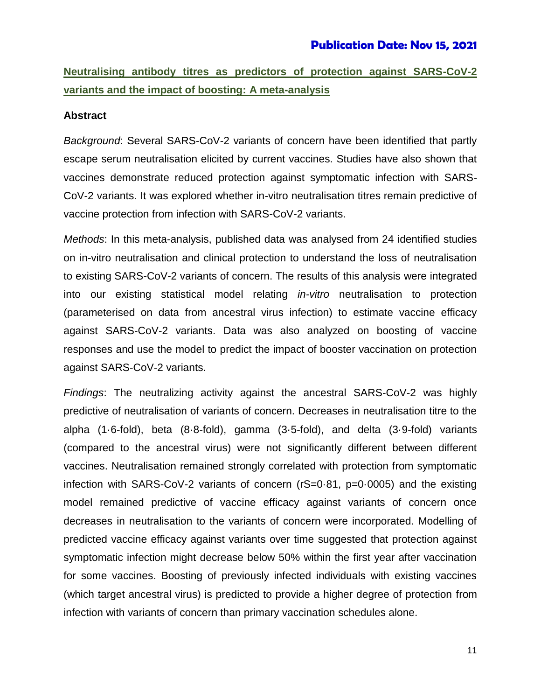## **Neutralising antibody titres as predictors of protection against SARS-CoV-2 variants and the impact of boosting: A meta-analysis**

### **Abstract**

*Background*: Several SARS-CoV-2 variants of concern have been identified that partly escape serum neutralisation elicited by current vaccines. Studies have also shown that vaccines demonstrate reduced protection against symptomatic infection with SARS-CoV-2 variants. It was explored whether in-vitro neutralisation titres remain predictive of vaccine protection from infection with SARS-CoV-2 variants.

*Methods*: In this meta-analysis, published data was analysed from 24 identified studies on in-vitro neutralisation and clinical protection to understand the loss of neutralisation to existing SARS-CoV-2 variants of concern. The results of this analysis were integrated into our existing statistical model relating *in-vitro* neutralisation to protection (parameterised on data from ancestral virus infection) to estimate vaccine efficacy against SARS-CoV-2 variants. Data was also analyzed on boosting of vaccine responses and use the model to predict the impact of booster vaccination on protection against SARS-CoV-2 variants.

*Findings*: The neutralizing activity against the ancestral SARS-CoV-2 was highly predictive of neutralisation of variants of concern. Decreases in neutralisation titre to the alpha (1·6-fold), beta (8·8-fold), gamma (3·5-fold), and delta (3·9-fold) variants (compared to the ancestral virus) were not significantly different between different vaccines. Neutralisation remained strongly correlated with protection from symptomatic infection with SARS-CoV-2 variants of concern (rS=0·81, p=0·0005) and the existing model remained predictive of vaccine efficacy against variants of concern once decreases in neutralisation to the variants of concern were incorporated. Modelling of predicted vaccine efficacy against variants over time suggested that protection against symptomatic infection might decrease below 50% within the first year after vaccination for some vaccines. Boosting of previously infected individuals with existing vaccines (which target ancestral virus) is predicted to provide a higher degree of protection from infection with variants of concern than primary vaccination schedules alone.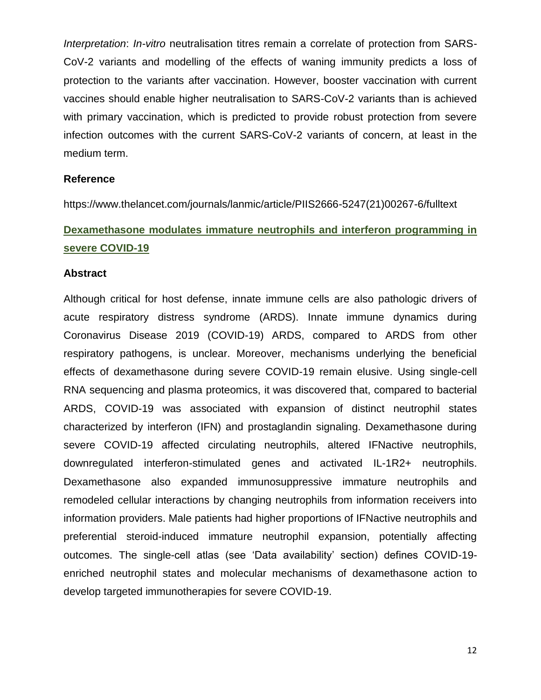*Interpretation*: *In-vitro* neutralisation titres remain a correlate of protection from SARS-CoV-2 variants and modelling of the effects of waning immunity predicts a loss of protection to the variants after vaccination. However, booster vaccination with current vaccines should enable higher neutralisation to SARS-CoV-2 variants than is achieved with primary vaccination, which is predicted to provide robust protection from severe infection outcomes with the current SARS-CoV-2 variants of concern, at least in the medium term.

#### **Reference**

https://www.thelancet.com/journals/lanmic/article/PIIS2666-5247(21)00267-6/fulltext

## **Dexamethasone modulates immature neutrophils and interferon programming in severe COVID-19**

#### **Abstract**

Although critical for host defense, innate immune cells are also pathologic drivers of acute respiratory distress syndrome (ARDS). Innate immune dynamics during Coronavirus Disease 2019 (COVID-19) ARDS, compared to ARDS from other respiratory pathogens, is unclear. Moreover, mechanisms underlying the beneficial effects of dexamethasone during severe COVID-19 remain elusive. Using single-cell RNA sequencing and plasma proteomics, it was discovered that, compared to bacterial ARDS, COVID-19 was associated with expansion of distinct neutrophil states characterized by interferon (IFN) and prostaglandin signaling. Dexamethasone during severe COVID-19 affected circulating neutrophils, altered IFNactive neutrophils, downregulated interferon-stimulated genes and activated IL-1R2+ neutrophils. Dexamethasone also expanded immunosuppressive immature neutrophils and remodeled cellular interactions by changing neutrophils from information receivers into information providers. Male patients had higher proportions of IFNactive neutrophils and preferential steroid-induced immature neutrophil expansion, potentially affecting outcomes. The single-cell atlas (see 'Data availability' section) defines COVID-19 enriched neutrophil states and molecular mechanisms of dexamethasone action to develop targeted immunotherapies for severe COVID-19.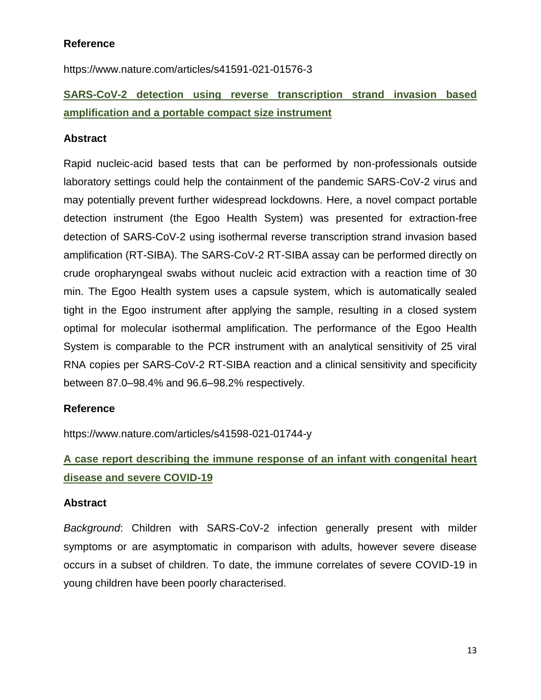### **Reference**

https://www.nature.com/articles/s41591-021-01576-3

## **SARS-CoV-2 detection using reverse transcription strand invasion based amplification and a portable compact size instrument**

### **Abstract**

Rapid nucleic-acid based tests that can be performed by non-professionals outside laboratory settings could help the containment of the pandemic SARS-CoV-2 virus and may potentially prevent further widespread lockdowns. Here, a novel compact portable detection instrument (the Egoo Health System) was presented for extraction-free detection of SARS-CoV-2 using isothermal reverse transcription strand invasion based amplification (RT-SIBA). The SARS-CoV-2 RT-SIBA assay can be performed directly on crude oropharyngeal swabs without nucleic acid extraction with a reaction time of 30 min. The Egoo Health system uses a capsule system, which is automatically sealed tight in the Egoo instrument after applying the sample, resulting in a closed system optimal for molecular isothermal amplification. The performance of the Egoo Health System is comparable to the PCR instrument with an analytical sensitivity of 25 viral RNA copies per SARS-CoV-2 RT-SIBA reaction and a clinical sensitivity and specificity between 87.0–98.4% and 96.6–98.2% respectively.

### **Reference**

https://www.nature.com/articles/s41598-021-01744-y

## **A case report describing the immune response of an infant with congenital heart disease and severe COVID-19**

### **Abstract**

*Background*: Children with SARS-CoV-2 infection generally present with milder symptoms or are asymptomatic in comparison with adults, however severe disease occurs in a subset of children. To date, the immune correlates of severe COVID-19 in young children have been poorly characterised.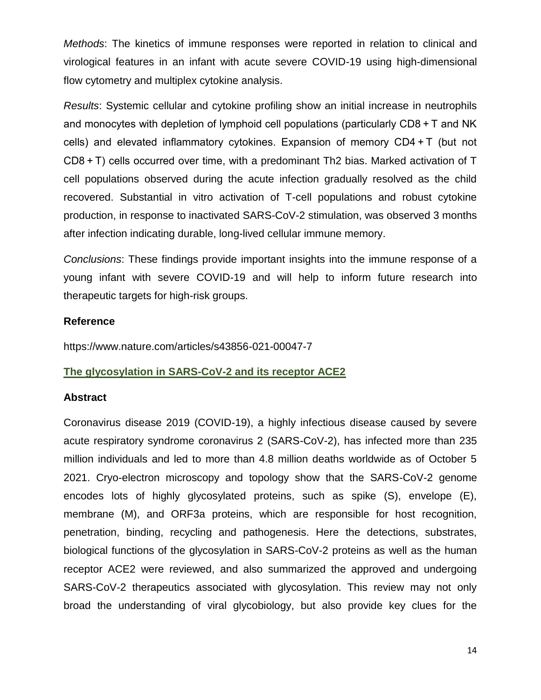*Methods*: The kinetics of immune responses were reported in relation to clinical and virological features in an infant with acute severe COVID-19 using high-dimensional flow cytometry and multiplex cytokine analysis.

*Results*: Systemic cellular and cytokine profiling show an initial increase in neutrophils and monocytes with depletion of lymphoid cell populations (particularly CD8 + T and NK cells) and elevated inflammatory cytokines. Expansion of memory CD4 + T (but not CD8 + T) cells occurred over time, with a predominant Th2 bias. Marked activation of T cell populations observed during the acute infection gradually resolved as the child recovered. Substantial in vitro activation of T-cell populations and robust cytokine production, in response to inactivated SARS-CoV-2 stimulation, was observed 3 months after infection indicating durable, long-lived cellular immune memory.

*Conclusions*: These findings provide important insights into the immune response of a young infant with severe COVID-19 and will help to inform future research into therapeutic targets for high-risk groups.

### **Reference**

https://www.nature.com/articles/s43856-021-00047-7

### **The glycosylation in SARS-CoV-2 and its receptor ACE2**

### **Abstract**

Coronavirus disease 2019 (COVID-19), a highly infectious disease caused by severe acute respiratory syndrome coronavirus 2 (SARS-CoV-2), has infected more than 235 million individuals and led to more than 4.8 million deaths worldwide as of October 5 2021. Cryo-electron microscopy and topology show that the SARS-CoV-2 genome encodes lots of highly glycosylated proteins, such as spike (S), envelope (E), membrane (M), and ORF3a proteins, which are responsible for host recognition, penetration, binding, recycling and pathogenesis. Here the detections, substrates, biological functions of the glycosylation in SARS-CoV-2 proteins as well as the human receptor ACE2 were reviewed, and also summarized the approved and undergoing SARS-CoV-2 therapeutics associated with glycosylation. This review may not only broad the understanding of viral glycobiology, but also provide key clues for the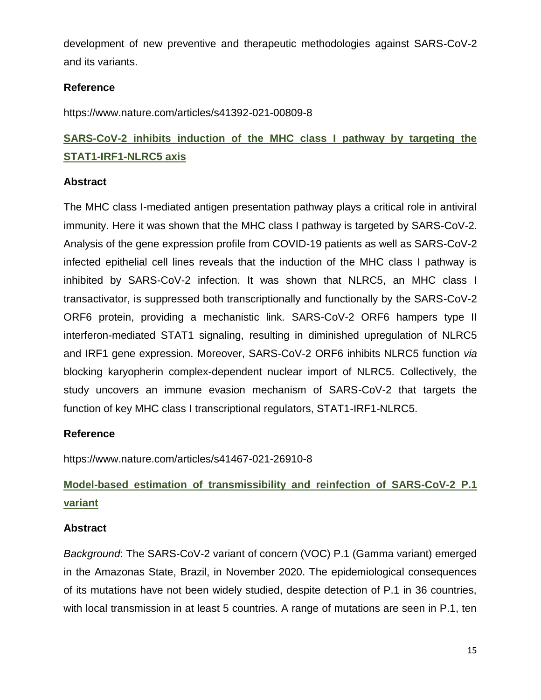development of new preventive and therapeutic methodologies against SARS-CoV-2 and its variants.

## **Reference**

https://www.nature.com/articles/s41392-021-00809-8

## **SARS-CoV-2 inhibits induction of the MHC class I pathway by targeting the STAT1-IRF1-NLRC5 axis**

### **Abstract**

The MHC class I-mediated antigen presentation pathway plays a critical role in antiviral immunity. Here it was shown that the MHC class I pathway is targeted by SARS-CoV-2. Analysis of the gene expression profile from COVID-19 patients as well as SARS-CoV-2 infected epithelial cell lines reveals that the induction of the MHC class I pathway is inhibited by SARS-CoV-2 infection. It was shown that NLRC5, an MHC class I transactivator, is suppressed both transcriptionally and functionally by the SARS-CoV-2 ORF6 protein, providing a mechanistic link. SARS-CoV-2 ORF6 hampers type II interferon-mediated STAT1 signaling, resulting in diminished upregulation of NLRC5 and IRF1 gene expression. Moreover, SARS-CoV-2 ORF6 inhibits NLRC5 function *via* blocking karyopherin complex-dependent nuclear import of NLRC5. Collectively, the study uncovers an immune evasion mechanism of SARS-CoV-2 that targets the function of key MHC class I transcriptional regulators, STAT1-IRF1-NLRC5.

## **Reference**

https://www.nature.com/articles/s41467-021-26910-8

## **Model-based estimation of transmissibility and reinfection of SARS-CoV-2 P.1 variant**

### **Abstract**

*Background*: The SARS-CoV-2 variant of concern (VOC) P.1 (Gamma variant) emerged in the Amazonas State, Brazil, in November 2020. The epidemiological consequences of its mutations have not been widely studied, despite detection of P.1 in 36 countries, with local transmission in at least 5 countries. A range of mutations are seen in P.1, ten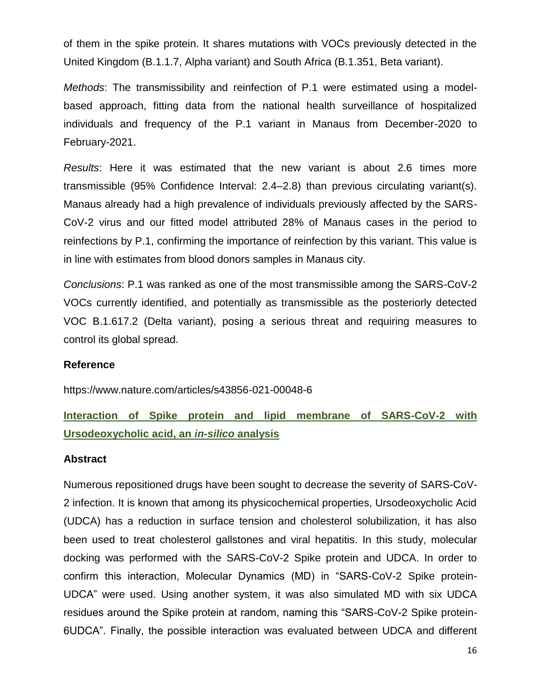of them in the spike protein. It shares mutations with VOCs previously detected in the United Kingdom (B.1.1.7, Alpha variant) and South Africa (B.1.351, Beta variant).

*Methods*: The transmissibility and reinfection of P.1 were estimated using a modelbased approach, fitting data from the national health surveillance of hospitalized individuals and frequency of the P.1 variant in Manaus from December-2020 to February-2021.

*Results*: Here it was estimated that the new variant is about 2.6 times more transmissible (95% Confidence Interval: 2.4–2.8) than previous circulating variant(s). Manaus already had a high prevalence of individuals previously affected by the SARS-CoV-2 virus and our fitted model attributed 28% of Manaus cases in the period to reinfections by P.1, confirming the importance of reinfection by this variant. This value is in line with estimates from blood donors samples in Manaus city.

*Conclusions*: P.1 was ranked as one of the most transmissible among the SARS-CoV-2 VOCs currently identified, and potentially as transmissible as the posteriorly detected VOC B.1.617.2 (Delta variant), posing a serious threat and requiring measures to control its global spread.

#### **Reference**

https://www.nature.com/articles/s43856-021-00048-6

## **Interaction of Spike protein and lipid membrane of SARS-CoV-2 with Ursodeoxycholic acid, an** *in-silico* **analysis**

#### **Abstract**

Numerous repositioned drugs have been sought to decrease the severity of SARS-CoV-2 infection. It is known that among its physicochemical properties, Ursodeoxycholic Acid (UDCA) has a reduction in surface tension and cholesterol solubilization, it has also been used to treat cholesterol gallstones and viral hepatitis. In this study, molecular docking was performed with the SARS-CoV-2 Spike protein and UDCA. In order to confirm this interaction, Molecular Dynamics (MD) in "SARS-CoV-2 Spike protein-UDCA" were used. Using another system, it was also simulated MD with six UDCA residues around the Spike protein at random, naming this "SARS-CoV-2 Spike protein-6UDCA". Finally, the possible interaction was evaluated between UDCA and different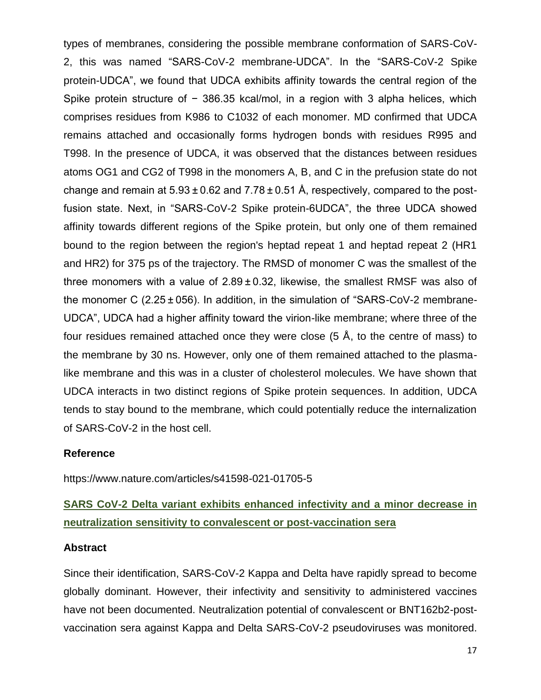types of membranes, considering the possible membrane conformation of SARS-CoV-2, this was named "SARS-CoV-2 membrane-UDCA". In the "SARS-CoV-2 Spike protein-UDCA", we found that UDCA exhibits affinity towards the central region of the Spike protein structure of − 386.35 kcal/mol, in a region with 3 alpha helices, which comprises residues from K986 to C1032 of each monomer. MD confirmed that UDCA remains attached and occasionally forms hydrogen bonds with residues R995 and T998. In the presence of UDCA, it was observed that the distances between residues atoms OG1 and CG2 of T998 in the monomers A, B, and C in the prefusion state do not change and remain at  $5.93 \pm 0.62$  and  $7.78 \pm 0.51$  Å, respectively, compared to the postfusion state. Next, in "SARS-CoV-2 Spike protein-6UDCA", the three UDCA showed affinity towards different regions of the Spike protein, but only one of them remained bound to the region between the region's heptad repeat 1 and heptad repeat 2 (HR1 and HR2) for 375 ps of the trajectory. The RMSD of monomer C was the smallest of the three monomers with a value of  $2.89 \pm 0.32$ , likewise, the smallest RMSF was also of the monomer C (2.25 ± 056). In addition, in the simulation of "SARS-CoV-2 membrane-UDCA", UDCA had a higher affinity toward the virion-like membrane; where three of the four residues remained attached once they were close (5 Å, to the centre of mass) to the membrane by 30 ns. However, only one of them remained attached to the plasmalike membrane and this was in a cluster of cholesterol molecules. We have shown that UDCA interacts in two distinct regions of Spike protein sequences. In addition, UDCA tends to stay bound to the membrane, which could potentially reduce the internalization of SARS-CoV-2 in the host cell.

#### **Reference**

https://www.nature.com/articles/s41598-021-01705-5

## **SARS CoV-2 Delta variant exhibits enhanced infectivity and a minor decrease in neutralization sensitivity to convalescent or post-vaccination sera**

#### **Abstract**

Since their identification, SARS-CoV-2 Kappa and Delta have rapidly spread to become globally dominant. However, their infectivity and sensitivity to administered vaccines have not been documented. Neutralization potential of convalescent or BNT162b2-postvaccination sera against Kappa and Delta SARS-CoV-2 pseudoviruses was monitored.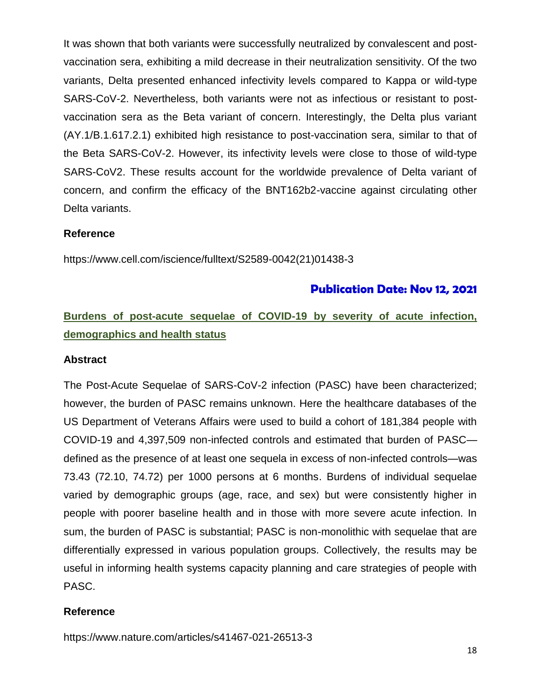It was shown that both variants were successfully neutralized by convalescent and postvaccination sera, exhibiting a mild decrease in their neutralization sensitivity. Of the two variants, Delta presented enhanced infectivity levels compared to Kappa or wild-type SARS-CoV-2. Nevertheless, both variants were not as infectious or resistant to postvaccination sera as the Beta variant of concern. Interestingly, the Delta plus variant (AY.1/B.1.617.2.1) exhibited high resistance to post-vaccination sera, similar to that of the Beta SARS-CoV-2. However, its infectivity levels were close to those of wild-type SARS-CoV2. These results account for the worldwide prevalence of Delta variant of concern, and confirm the efficacy of the BNT162b2-vaccine against circulating other Delta variants.

### **Reference**

https://www.cell.com/iscience/fulltext/S2589-0042(21)01438-3

## **Publication Date: Nov 12, 2021**

## **Burdens of post-acute sequelae of COVID-19 by severity of acute infection, demographics and health status**

#### **Abstract**

The Post-Acute Sequelae of SARS-CoV-2 infection (PASC) have been characterized; however, the burden of PASC remains unknown. Here the healthcare databases of the US Department of Veterans Affairs were used to build a cohort of 181,384 people with COVID-19 and 4,397,509 non-infected controls and estimated that burden of PASC defined as the presence of at least one sequela in excess of non-infected controls—was 73.43 (72.10, 74.72) per 1000 persons at 6 months. Burdens of individual sequelae varied by demographic groups (age, race, and sex) but were consistently higher in people with poorer baseline health and in those with more severe acute infection. In sum, the burden of PASC is substantial; PASC is non-monolithic with sequelae that are differentially expressed in various population groups. Collectively, the results may be useful in informing health systems capacity planning and care strategies of people with PASC.

#### **Reference**

https://www.nature.com/articles/s41467-021-26513-3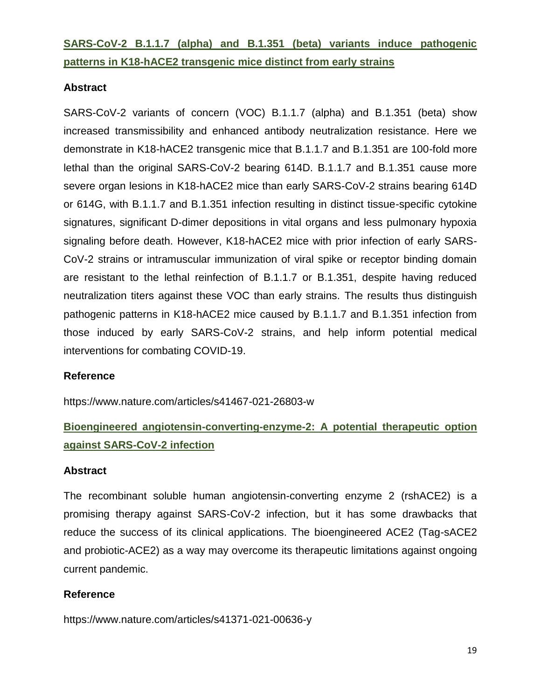## **SARS-CoV-2 B.1.1.7 (alpha) and B.1.351 (beta) variants induce pathogenic patterns in K18-hACE2 transgenic mice distinct from early strains**

## **Abstract**

SARS-CoV-2 variants of concern (VOC) B.1.1.7 (alpha) and B.1.351 (beta) show increased transmissibility and enhanced antibody neutralization resistance. Here we demonstrate in K18-hACE2 transgenic mice that B.1.1.7 and B.1.351 are 100-fold more lethal than the original SARS-CoV-2 bearing 614D. B.1.1.7 and B.1.351 cause more severe organ lesions in K18-hACE2 mice than early SARS-CoV-2 strains bearing 614D or 614G, with B.1.1.7 and B.1.351 infection resulting in distinct tissue-specific cytokine signatures, significant D-dimer depositions in vital organs and less pulmonary hypoxia signaling before death. However, K18-hACE2 mice with prior infection of early SARS-CoV-2 strains or intramuscular immunization of viral spike or receptor binding domain are resistant to the lethal reinfection of B.1.1.7 or B.1.351, despite having reduced neutralization titers against these VOC than early strains. The results thus distinguish pathogenic patterns in K18-hACE2 mice caused by B.1.1.7 and B.1.351 infection from those induced by early SARS-CoV-2 strains, and help inform potential medical interventions for combating COVID-19.

### **Reference**

https://www.nature.com/articles/s41467-021-26803-w

## **Bioengineered angiotensin-converting-enzyme-2: A potential therapeutic option against SARS-CoV-2 infection**

### **Abstract**

The recombinant soluble human angiotensin-converting enzyme 2 (rshACE2) is a promising therapy against SARS-CoV-2 infection, but it has some drawbacks that reduce the success of its clinical applications. The bioengineered ACE2 (Tag-sACE2 and probiotic-ACE2) as a way may overcome its therapeutic limitations against ongoing current pandemic.

### **Reference**

https://www.nature.com/articles/s41371-021-00636-y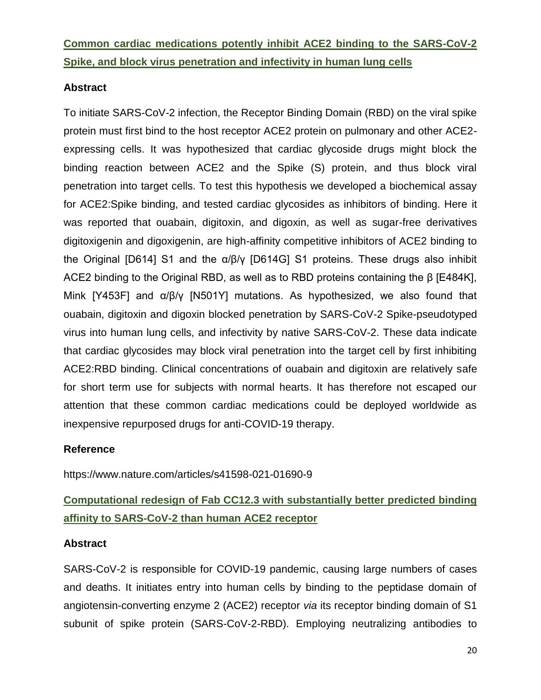**Common cardiac medications potently inhibit ACE2 binding to the SARS-CoV-2 Spike, and block virus penetration and infectivity in human lung cells**

### **Abstract**

To initiate SARS-CoV-2 infection, the Receptor Binding Domain (RBD) on the viral spike protein must first bind to the host receptor ACE2 protein on pulmonary and other ACE2 expressing cells. It was hypothesized that cardiac glycoside drugs might block the binding reaction between ACE2 and the Spike (S) protein, and thus block viral penetration into target cells. To test this hypothesis we developed a biochemical assay for ACE2:Spike binding, and tested cardiac glycosides as inhibitors of binding. Here it was reported that ouabain, digitoxin, and digoxin, as well as sugar-free derivatives digitoxigenin and digoxigenin, are high-affinity competitive inhibitors of ACE2 binding to the Original [D614] S1 and the α/β/γ [D614G] S1 proteins. These drugs also inhibit ACE2 binding to the Original RBD, as well as to RBD proteins containing the β [E484K], Mink [Y453F] and  $\alpha/\beta/\gamma$  [N501Y] mutations. As hypothesized, we also found that ouabain, digitoxin and digoxin blocked penetration by SARS-CoV-2 Spike-pseudotyped virus into human lung cells, and infectivity by native SARS-CoV-2. These data indicate that cardiac glycosides may block viral penetration into the target cell by first inhibiting ACE2:RBD binding. Clinical concentrations of ouabain and digitoxin are relatively safe for short term use for subjects with normal hearts. It has therefore not escaped our attention that these common cardiac medications could be deployed worldwide as inexpensive repurposed drugs for anti-COVID-19 therapy.

### **Reference**

https://www.nature.com/articles/s41598-021-01690-9

## **Computational redesign of Fab CC12.3 with substantially better predicted binding affinity to SARS-CoV-2 than human ACE2 receptor**

## **Abstract**

SARS-CoV-2 is responsible for COVID-19 pandemic, causing large numbers of cases and deaths. It initiates entry into human cells by binding to the peptidase domain of angiotensin-converting enzyme 2 (ACE2) receptor *via* its receptor binding domain of S1 subunit of spike protein (SARS-CoV-2-RBD). Employing neutralizing antibodies to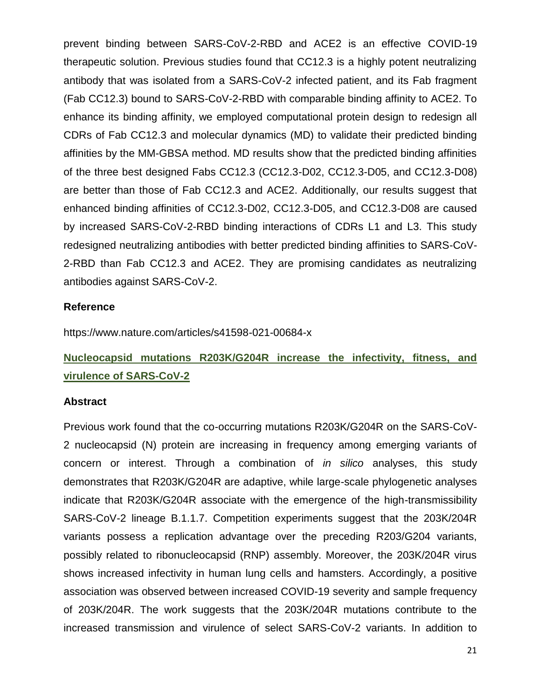prevent binding between SARS-CoV-2-RBD and ACE2 is an effective COVID-19 therapeutic solution. Previous studies found that CC12.3 is a highly potent neutralizing antibody that was isolated from a SARS-CoV-2 infected patient, and its Fab fragment (Fab CC12.3) bound to SARS-CoV-2-RBD with comparable binding affinity to ACE2. To enhance its binding affinity, we employed computational protein design to redesign all CDRs of Fab CC12.3 and molecular dynamics (MD) to validate their predicted binding affinities by the MM-GBSA method. MD results show that the predicted binding affinities of the three best designed Fabs CC12.3 (CC12.3-D02, CC12.3-D05, and CC12.3-D08) are better than those of Fab CC12.3 and ACE2. Additionally, our results suggest that enhanced binding affinities of CC12.3-D02, CC12.3-D05, and CC12.3-D08 are caused by increased SARS-CoV-2-RBD binding interactions of CDRs L1 and L3. This study redesigned neutralizing antibodies with better predicted binding affinities to SARS-CoV-2-RBD than Fab CC12.3 and ACE2. They are promising candidates as neutralizing antibodies against SARS-CoV-2.

#### **Reference**

https://www.nature.com/articles/s41598-021-00684-x

## **Nucleocapsid mutations R203K/G204R increase the infectivity, fitness, and virulence of SARS-CoV-2**

#### **Abstract**

Previous work found that the co-occurring mutations R203K/G204R on the SARS-CoV-2 nucleocapsid (N) protein are increasing in frequency among emerging variants of concern or interest. Through a combination of *in silico* analyses, this study demonstrates that R203K/G204R are adaptive, while large-scale phylogenetic analyses indicate that R203K/G204R associate with the emergence of the high-transmissibility SARS-CoV-2 lineage B.1.1.7. Competition experiments suggest that the 203K/204R variants possess a replication advantage over the preceding R203/G204 variants, possibly related to ribonucleocapsid (RNP) assembly. Moreover, the 203K/204R virus shows increased infectivity in human lung cells and hamsters. Accordingly, a positive association was observed between increased COVID-19 severity and sample frequency of 203K/204R. The work suggests that the 203K/204R mutations contribute to the increased transmission and virulence of select SARS-CoV-2 variants. In addition to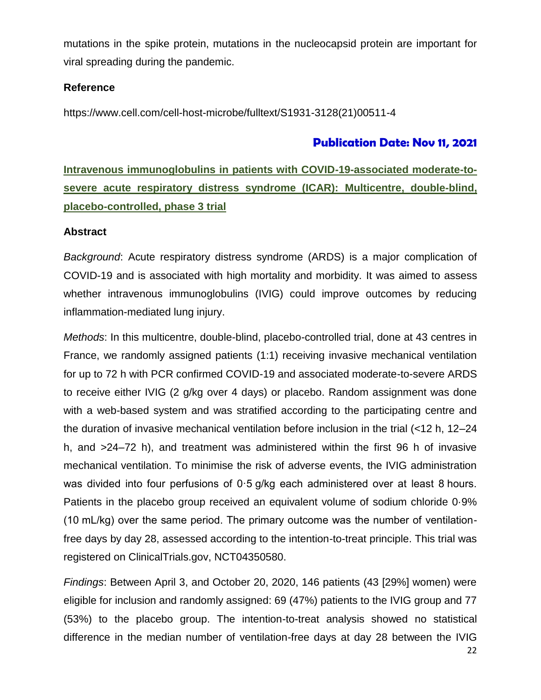mutations in the spike protein, mutations in the nucleocapsid protein are important for viral spreading during the pandemic.

## **Reference**

https://www.cell.com/cell-host-microbe/fulltext/S1931-3128(21)00511-4

## **Publication Date: Nov 11, 2021**

## **Intravenous immunoglobulins in patients with COVID-19-associated moderate-tosevere acute respiratory distress syndrome (ICAR): Multicentre, double-blind, placebo-controlled, phase 3 trial**

### **Abstract**

*Background*: Acute respiratory distress syndrome (ARDS) is a major complication of COVID-19 and is associated with high mortality and morbidity. It was aimed to assess whether intravenous immunoglobulins (IVIG) could improve outcomes by reducing inflammation-mediated lung injury.

*Methods*: In this multicentre, double-blind, placebo-controlled trial, done at 43 centres in France, we randomly assigned patients (1:1) receiving invasive mechanical ventilation for up to 72 h with PCR confirmed COVID-19 and associated moderate-to-severe ARDS to receive either IVIG (2 g/kg over 4 days) or placebo. Random assignment was done with a web-based system and was stratified according to the participating centre and the duration of invasive mechanical ventilation before inclusion in the trial (<12 h, 12–24 h, and >24–72 h), and treatment was administered within the first 96 h of invasive mechanical ventilation. To minimise the risk of adverse events, the IVIG administration was divided into four perfusions of 0.5 g/kg each administered over at least 8 hours. Patients in the placebo group received an equivalent volume of sodium chloride 0·9% (10 mL/kg) over the same period. The primary outcome was the number of ventilationfree days by day 28, assessed according to the intention-to-treat principle. This trial was registered on ClinicalTrials.gov, NCT04350580.

*Findings*: Between April 3, and October 20, 2020, 146 patients (43 [29%] women) were eligible for inclusion and randomly assigned: 69 (47%) patients to the IVIG group and 77 (53%) to the placebo group. The intention-to-treat analysis showed no statistical difference in the median number of ventilation-free days at day 28 between the IVIG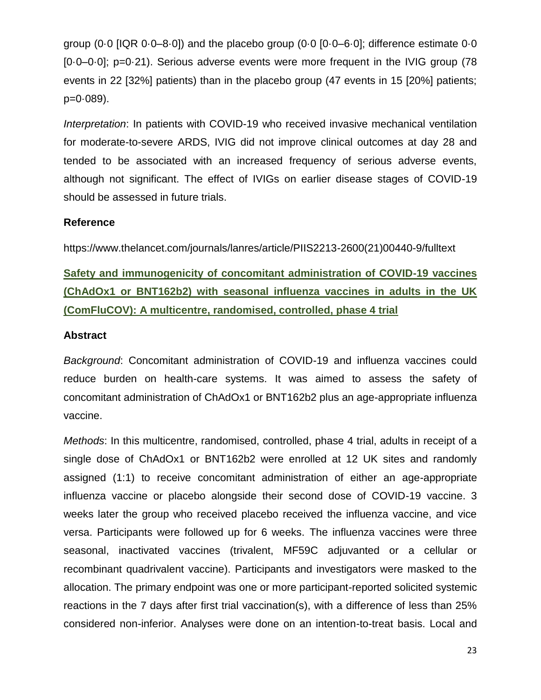group (0.0  $[IQR 0.0-8.0]$ ) and the placebo group (0.0  $[0.0-6.0]$ ; difference estimate 0.0 [0·0–0·0]; p=0·21). Serious adverse events were more frequent in the IVIG group (78 events in 22 [32%] patients) than in the placebo group (47 events in 15 [20%] patients; p=0·089).

*Interpretation*: In patients with COVID-19 who received invasive mechanical ventilation for moderate-to-severe ARDS, IVIG did not improve clinical outcomes at day 28 and tended to be associated with an increased frequency of serious adverse events, although not significant. The effect of IVIGs on earlier disease stages of COVID-19 should be assessed in future trials.

### **Reference**

https://www.thelancet.com/journals/lanres/article/PIIS2213-2600(21)00440-9/fulltext

**Safety and immunogenicity of concomitant administration of COVID-19 vaccines (ChAdOx1 or BNT162b2) with seasonal influenza vaccines in adults in the UK (ComFluCOV): A multicentre, randomised, controlled, phase 4 trial**

### **Abstract**

*Background*: Concomitant administration of COVID-19 and influenza vaccines could reduce burden on health-care systems. It was aimed to assess the safety of concomitant administration of ChAdOx1 or BNT162b2 plus an age-appropriate influenza vaccine.

*Methods*: In this multicentre, randomised, controlled, phase 4 trial, adults in receipt of a single dose of ChAdOx1 or BNT162b2 were enrolled at 12 UK sites and randomly assigned (1:1) to receive concomitant administration of either an age-appropriate influenza vaccine or placebo alongside their second dose of COVID-19 vaccine. 3 weeks later the group who received placebo received the influenza vaccine, and vice versa. Participants were followed up for 6 weeks. The influenza vaccines were three seasonal, inactivated vaccines (trivalent, MF59C adjuvanted or a cellular or recombinant quadrivalent vaccine). Participants and investigators were masked to the allocation. The primary endpoint was one or more participant-reported solicited systemic reactions in the 7 days after first trial vaccination(s), with a difference of less than 25% considered non-inferior. Analyses were done on an intention-to-treat basis. Local and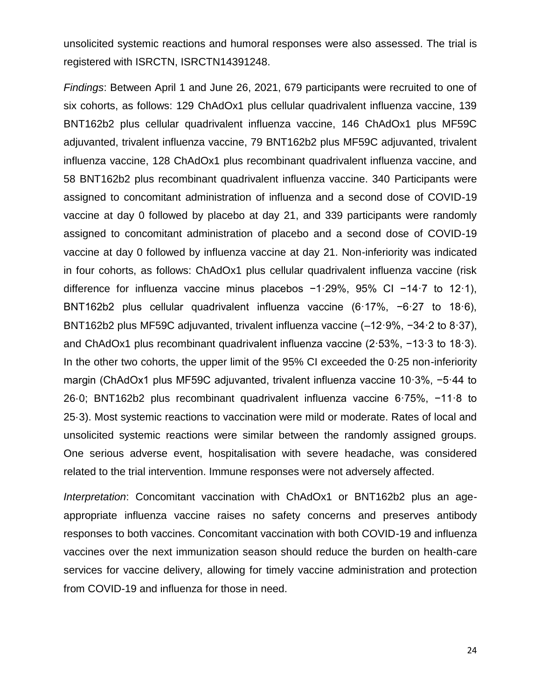unsolicited systemic reactions and humoral responses were also assessed. The trial is registered with ISRCTN, ISRCTN14391248.

*Findings*: Between April 1 and June 26, 2021, 679 participants were recruited to one of six cohorts, as follows: 129 ChAdOx1 plus cellular quadrivalent influenza vaccine, 139 BNT162b2 plus cellular quadrivalent influenza vaccine, 146 ChAdOx1 plus MF59C adjuvanted, trivalent influenza vaccine, 79 BNT162b2 plus MF59C adjuvanted, trivalent influenza vaccine, 128 ChAdOx1 plus recombinant quadrivalent influenza vaccine, and 58 BNT162b2 plus recombinant quadrivalent influenza vaccine. 340 Participants were assigned to concomitant administration of influenza and a second dose of COVID-19 vaccine at day 0 followed by placebo at day 21, and 339 participants were randomly assigned to concomitant administration of placebo and a second dose of COVID-19 vaccine at day 0 followed by influenza vaccine at day 21. Non-inferiority was indicated in four cohorts, as follows: ChAdOx1 plus cellular quadrivalent influenza vaccine (risk difference for influenza vaccine minus placebos −1·29%, 95% CI −14·7 to 12·1), BNT162b2 plus cellular quadrivalent influenza vaccine (6·17%, −6·27 to 18·6), BNT162b2 plus MF59C adjuvanted, trivalent influenza vaccine (–12·9%, −34·2 to 8·37), and ChAdOx1 plus recombinant quadrivalent influenza vaccine (2·53%, −13·3 to 18·3). In the other two cohorts, the upper limit of the 95% CI exceeded the 0.25 non-inferiority margin (ChAdOx1 plus MF59C adjuvanted, trivalent influenza vaccine 10·3%, −5·44 to 26·0; BNT162b2 plus recombinant quadrivalent influenza vaccine 6·75%, −11·8 to 25·3). Most systemic reactions to vaccination were mild or moderate. Rates of local and unsolicited systemic reactions were similar between the randomly assigned groups. One serious adverse event, hospitalisation with severe headache, was considered related to the trial intervention. Immune responses were not adversely affected.

*Interpretation*: Concomitant vaccination with ChAdOx1 or BNT162b2 plus an ageappropriate influenza vaccine raises no safety concerns and preserves antibody responses to both vaccines. Concomitant vaccination with both COVID-19 and influenza vaccines over the next immunization season should reduce the burden on health-care services for vaccine delivery, allowing for timely vaccine administration and protection from COVID-19 and influenza for those in need.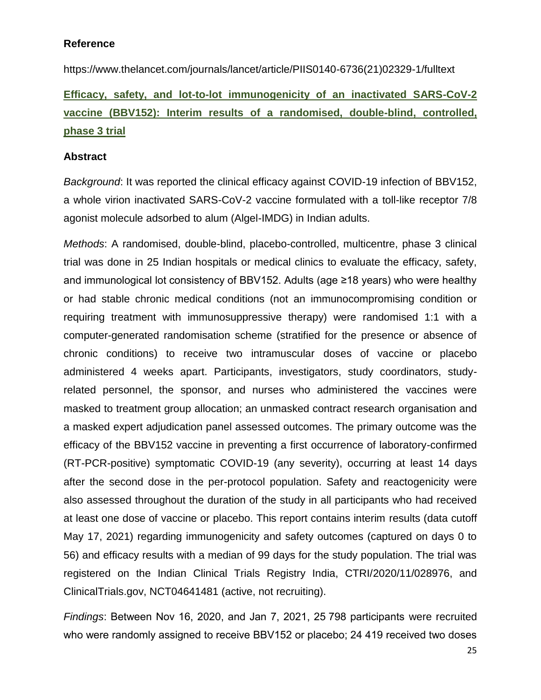### **Reference**

https://www.thelancet.com/journals/lancet/article/PIIS0140-6736(21)02329-1/fulltext

**Efficacy, safety, and lot-to-lot immunogenicity of an inactivated SARS-CoV-2 vaccine (BBV152): Interim results of a randomised, double-blind, controlled, phase 3 trial**

### **Abstract**

*Background*: It was reported the clinical efficacy against COVID-19 infection of BBV152, a whole virion inactivated SARS-CoV-2 vaccine formulated with a toll-like receptor 7/8 agonist molecule adsorbed to alum (Algel-IMDG) in Indian adults.

*Methods*: A randomised, double-blind, placebo-controlled, multicentre, phase 3 clinical trial was done in 25 Indian hospitals or medical clinics to evaluate the efficacy, safety, and immunological lot consistency of BBV152. Adults (age ≥18 years) who were healthy or had stable chronic medical conditions (not an immunocompromising condition or requiring treatment with immunosuppressive therapy) were randomised 1:1 with a computer-generated randomisation scheme (stratified for the presence or absence of chronic conditions) to receive two intramuscular doses of vaccine or placebo administered 4 weeks apart. Participants, investigators, study coordinators, studyrelated personnel, the sponsor, and nurses who administered the vaccines were masked to treatment group allocation; an unmasked contract research organisation and a masked expert adjudication panel assessed outcomes. The primary outcome was the efficacy of the BBV152 vaccine in preventing a first occurrence of laboratory-confirmed (RT-PCR-positive) symptomatic COVID-19 (any severity), occurring at least 14 days after the second dose in the per-protocol population. Safety and reactogenicity were also assessed throughout the duration of the study in all participants who had received at least one dose of vaccine or placebo. This report contains interim results (data cutoff May 17, 2021) regarding immunogenicity and safety outcomes (captured on days 0 to 56) and efficacy results with a median of 99 days for the study population. The trial was registered on the Indian Clinical Trials Registry India, CTRI/2020/11/028976, and ClinicalTrials.gov, NCT04641481 (active, not recruiting).

*Findings*: Between Nov 16, 2020, and Jan 7, 2021, 25 798 participants were recruited who were randomly assigned to receive BBV152 or placebo; 24 419 received two doses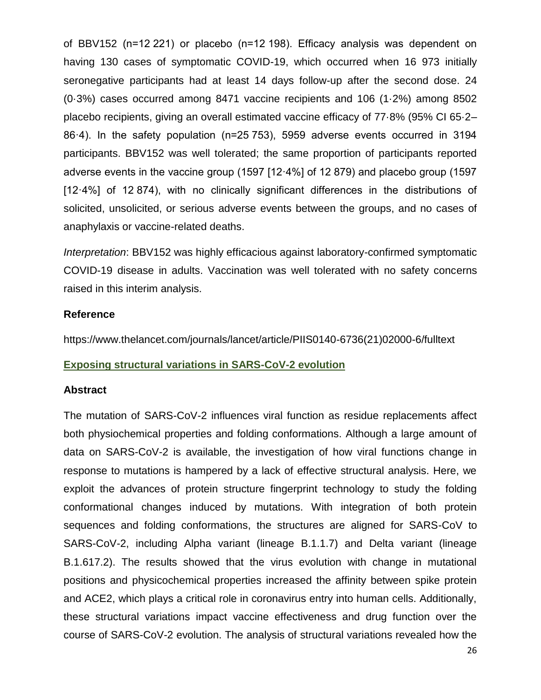of BBV152 (n=12 221) or placebo (n=12 198). Efficacy analysis was dependent on having 130 cases of symptomatic COVID-19, which occurred when 16 973 initially seronegative participants had at least 14 days follow-up after the second dose. 24 (0·3%) cases occurred among 8471 vaccine recipients and 106 (1·2%) among 8502 placebo recipients, giving an overall estimated vaccine efficacy of 77·8% (95% CI 65·2– 86·4). In the safety population (n=25 753), 5959 adverse events occurred in 3194 participants. BBV152 was well tolerated; the same proportion of participants reported adverse events in the vaccine group (1597 [12·4%] of 12 879) and placebo group (1597 [12·4%] of 12 874), with no clinically significant differences in the distributions of solicited, unsolicited, or serious adverse events between the groups, and no cases of anaphylaxis or vaccine-related deaths.

*Interpretation*: BBV152 was highly efficacious against laboratory-confirmed symptomatic COVID-19 disease in adults. Vaccination was well tolerated with no safety concerns raised in this interim analysis.

### **Reference**

https://www.thelancet.com/journals/lancet/article/PIIS0140-6736(21)02000-6/fulltext

### **Exposing structural variations in SARS-CoV-2 evolution**

#### **Abstract**

The mutation of SARS-CoV-2 influences viral function as residue replacements affect both physiochemical properties and folding conformations. Although a large amount of data on SARS-CoV-2 is available, the investigation of how viral functions change in response to mutations is hampered by a lack of effective structural analysis. Here, we exploit the advances of protein structure fingerprint technology to study the folding conformational changes induced by mutations. With integration of both protein sequences and folding conformations, the structures are aligned for SARS-CoV to SARS-CoV-2, including Alpha variant (lineage B.1.1.7) and Delta variant (lineage B.1.617.2). The results showed that the virus evolution with change in mutational positions and physicochemical properties increased the affinity between spike protein and ACE2, which plays a critical role in coronavirus entry into human cells. Additionally, these structural variations impact vaccine effectiveness and drug function over the course of SARS-CoV-2 evolution. The analysis of structural variations revealed how the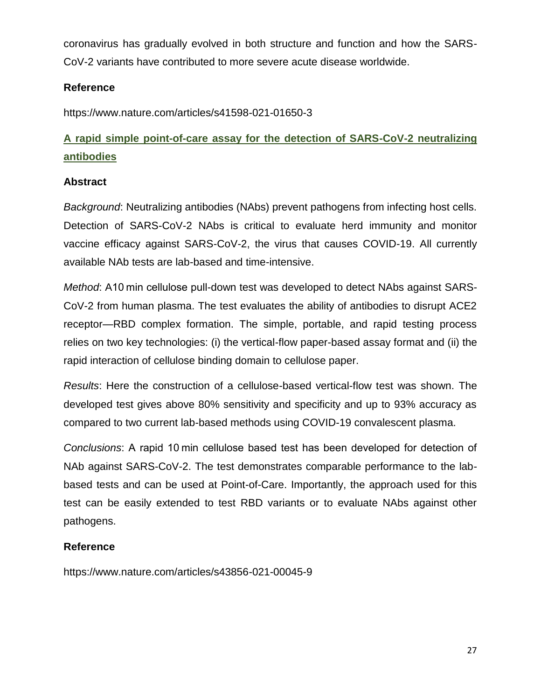coronavirus has gradually evolved in both structure and function and how the SARS-CoV-2 variants have contributed to more severe acute disease worldwide.

## **Reference**

https://www.nature.com/articles/s41598-021-01650-3

## **A rapid simple point-of-care assay for the detection of SARS-CoV-2 neutralizing antibodies**

## **Abstract**

*Background*: Neutralizing antibodies (NAbs) prevent pathogens from infecting host cells. Detection of SARS-CoV-2 NAbs is critical to evaluate herd immunity and monitor vaccine efficacy against SARS-CoV-2, the virus that causes COVID-19. All currently available NAb tests are lab-based and time-intensive.

*Method*: A10 min cellulose pull-down test was developed to detect NAbs against SARS-CoV-2 from human plasma. The test evaluates the ability of antibodies to disrupt ACE2 receptor—RBD complex formation. The simple, portable, and rapid testing process relies on two key technologies: (i) the vertical-flow paper-based assay format and (ii) the rapid interaction of cellulose binding domain to cellulose paper.

*Results*: Here the construction of a cellulose-based vertical-flow test was shown. The developed test gives above 80% sensitivity and specificity and up to 93% accuracy as compared to two current lab-based methods using COVID-19 convalescent plasma.

*Conclusions*: A rapid 10 min cellulose based test has been developed for detection of NAb against SARS-CoV-2. The test demonstrates comparable performance to the labbased tests and can be used at Point-of-Care. Importantly, the approach used for this test can be easily extended to test RBD variants or to evaluate NAbs against other pathogens.

## **Reference**

https://www.nature.com/articles/s43856-021-00045-9